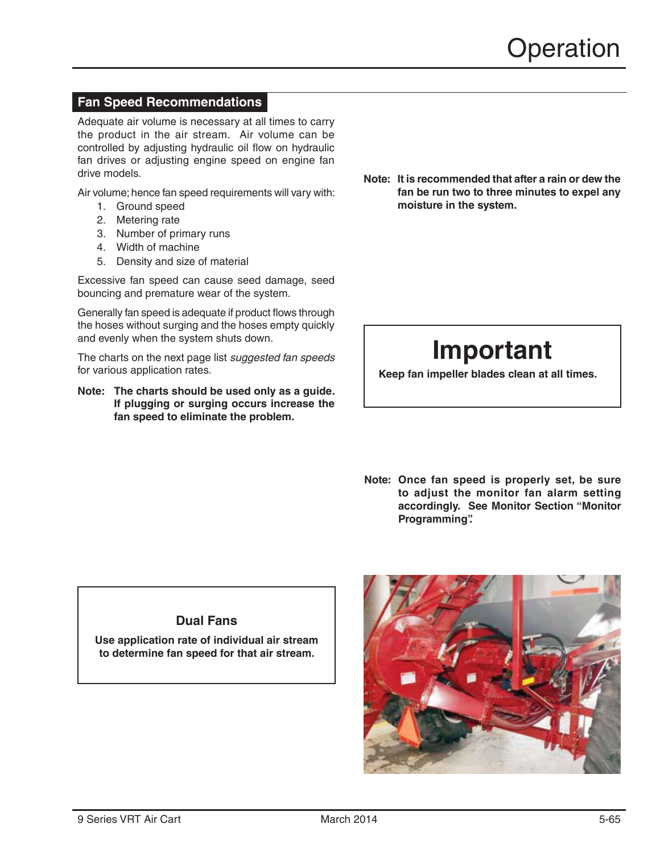# **Fan Speed Recommendations**

Adequate air volume is necessary at all times to carry the product in the air stream. Air volume can be controlled by adjusting hydraulic oil flow on hydraulic fan drives or adjusting engine speed on engine fan drive models.

Air volume; hence fan speed requirements will vary with:

- 1. Ground speed
- 2. Metering rate
- 3. Number of primary runs
- 4. Width of machine
- 5. Density and size of material

Excessive fan speed can cause seed damage, seed bouncing and premature wear of the system.

Generally fan speed is adequate if product flows through the hoses without surging and the hoses empty quickly and evenly when the system shuts down.

The charts on the next page list *suggested fan speeds* for various application rates.

**Note: The charts should be used only as a guide. If plugging or surging occurs increase the fan speed to eliminate the problem.**

Note: It is recommended that after a rain or dew the fan be run two to three minutes to expel any moisture in the system.

# **Important**

**Keep fan impeller blades clean at all times.** 

Note: Once fan speed is properly set, be sure to adjust the monitor fan alarm setting accordingly. See Monitor Section "Monitor **Programming**?

## **Dual Fans**

**Use application rate of individual air stream to determine fan speed for that air stream.**

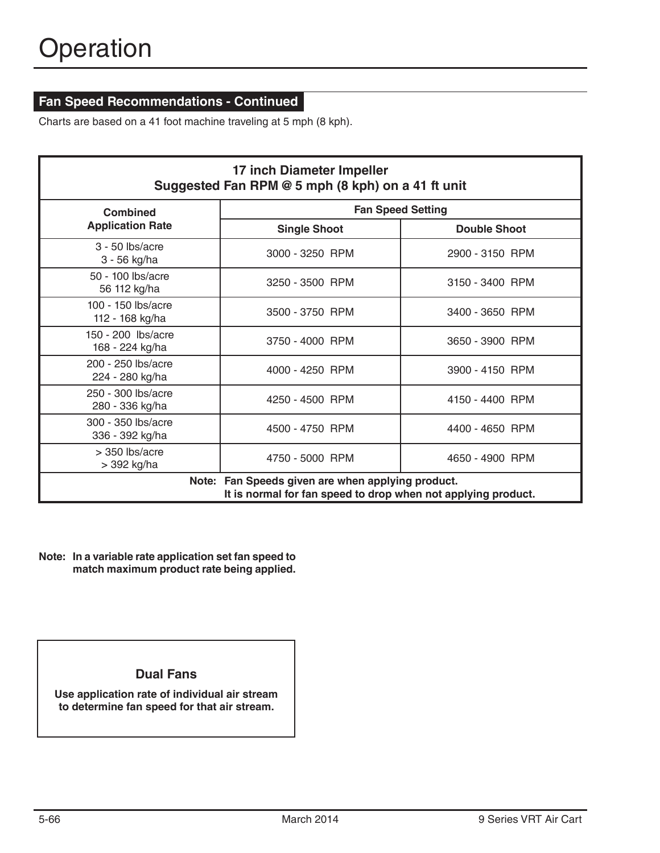# **Fan Speed Recommendations - Continued**

Charts are based on a 41 foot machine traveling at 5 mph (8 kph).

| 17 inch Diameter Impeller<br>Suggested Fan RPM @ 5 mph (8 kph) on a 41 ft unit                                        |                          |                     |  |  |  |  |
|-----------------------------------------------------------------------------------------------------------------------|--------------------------|---------------------|--|--|--|--|
| <b>Combined</b>                                                                                                       | <b>Fan Speed Setting</b> |                     |  |  |  |  |
| <b>Application Rate</b>                                                                                               | <b>Single Shoot</b>      | <b>Double Shoot</b> |  |  |  |  |
| $3 - 50$ lbs/acre<br>3 - 56 kg/ha                                                                                     | 3000 - 3250 RPM          | 2900 - 3150 RPM     |  |  |  |  |
| 50 - 100 lbs/acre<br>56 112 kg/ha                                                                                     | 3250 - 3500 RPM          | 3150 - 3400 RPM     |  |  |  |  |
| $100 - 150$ lbs/acre<br>112 - 168 kg/ha                                                                               | 3500 - 3750 RPM          | 3400 - 3650 RPM     |  |  |  |  |
| 150 - 200 lbs/acre<br>168 - 224 kg/ha                                                                                 | 3750 - 4000 RPM          | 3650 - 3900 RPM     |  |  |  |  |
| 200 - 250 lbs/acre<br>224 - 280 kg/ha                                                                                 | 4000 - 4250 RPM          | 3900 - 4150 RPM     |  |  |  |  |
| 250 - 300 lbs/acre<br>280 - 336 kg/ha                                                                                 | 4250 - 4500 RPM          | 4150 - 4400 RPM     |  |  |  |  |
| 300 - 350 lbs/acre<br>336 - 392 kg/ha                                                                                 | 4500 - 4750 RPM          | 4400 - 4650 RPM     |  |  |  |  |
| $>$ 350 lbs/acre<br>> 392 kg/ha                                                                                       | 4750 - 5000 RPM          | 4650 - 4900 RPM     |  |  |  |  |
| Fan Speeds given are when applying product.<br>Note:<br>It is normal for fan speed to drop when not applying product. |                          |                     |  |  |  |  |

Note: In a variable rate application set fan speed to match maximum product rate being applied.

#### **Dual Fans**

**Use application rate of individual air stream to determine fan speed for that air stream.**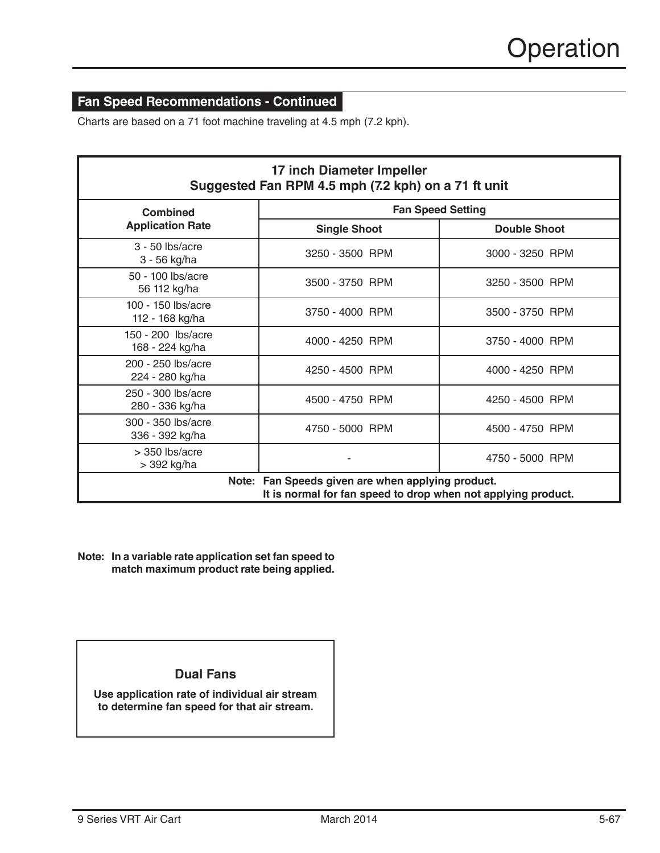# **Fan Speed Recommendations - Continued**

Charts are based on a 71 foot machine traveling at 4.5 mph (7.2 kph).

| 17 inch Diameter Impeller<br>Suggested Fan RPM 4.5 mph (7.2 kph) on a 71 ft unit                                      |                          |                     |  |  |  |  |
|-----------------------------------------------------------------------------------------------------------------------|--------------------------|---------------------|--|--|--|--|
| <b>Combined</b>                                                                                                       | <b>Fan Speed Setting</b> |                     |  |  |  |  |
| <b>Application Rate</b>                                                                                               | <b>Single Shoot</b>      | <b>Double Shoot</b> |  |  |  |  |
| $3 - 50$ lbs/acre<br>3 - 56 kg/ha                                                                                     | 3250 - 3500 RPM          | 3000 - 3250 RPM     |  |  |  |  |
| 50 - 100 lbs/acre<br>56 112 kg/ha                                                                                     | 3500 - 3750 RPM          | 3250 - 3500 RPM     |  |  |  |  |
| 100 - 150 lbs/acre<br>112 - 168 kg/ha                                                                                 | 3750 - 4000 RPM          | 3500 - 3750 RPM     |  |  |  |  |
| 150 - 200 lbs/acre<br>168 - 224 kg/ha                                                                                 | 4000 - 4250 RPM          | 3750 - 4000 RPM     |  |  |  |  |
| 200 - 250 lbs/acre<br>224 - 280 kg/ha                                                                                 | 4250 - 4500 RPM          | 4000 - 4250 RPM     |  |  |  |  |
| 250 - 300 lbs/acre<br>280 - 336 kg/ha                                                                                 | 4500 - 4750 RPM          | 4250 - 4500 RPM     |  |  |  |  |
| 300 - 350 lbs/acre<br>336 - 392 kg/ha                                                                                 | 4750 - 5000 RPM          | 4500 - 4750 RPM     |  |  |  |  |
| $>$ 350 lbs/acre<br>> 392 kg/ha                                                                                       |                          | 4750 - 5000 RPM     |  |  |  |  |
| Fan Speeds given are when applying product.<br>Note:<br>It is normal for fan speed to drop when not applying product. |                          |                     |  |  |  |  |

Note: In a variable rate application set fan speed to match maximum product rate being applied.

## **Dual Fans**

**Use application rate of individual air stream to determine fan speed for that air stream.**